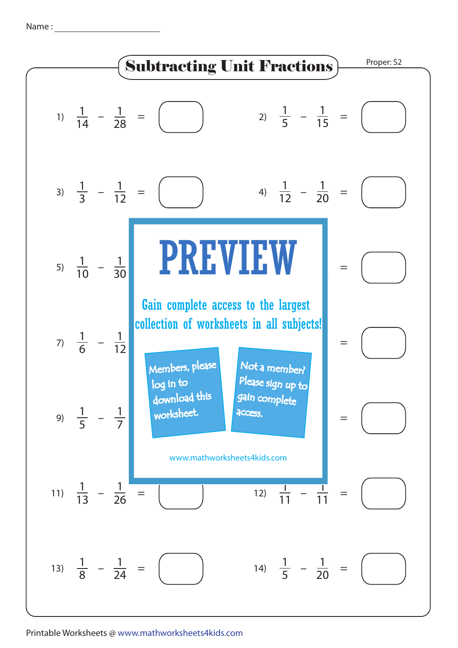